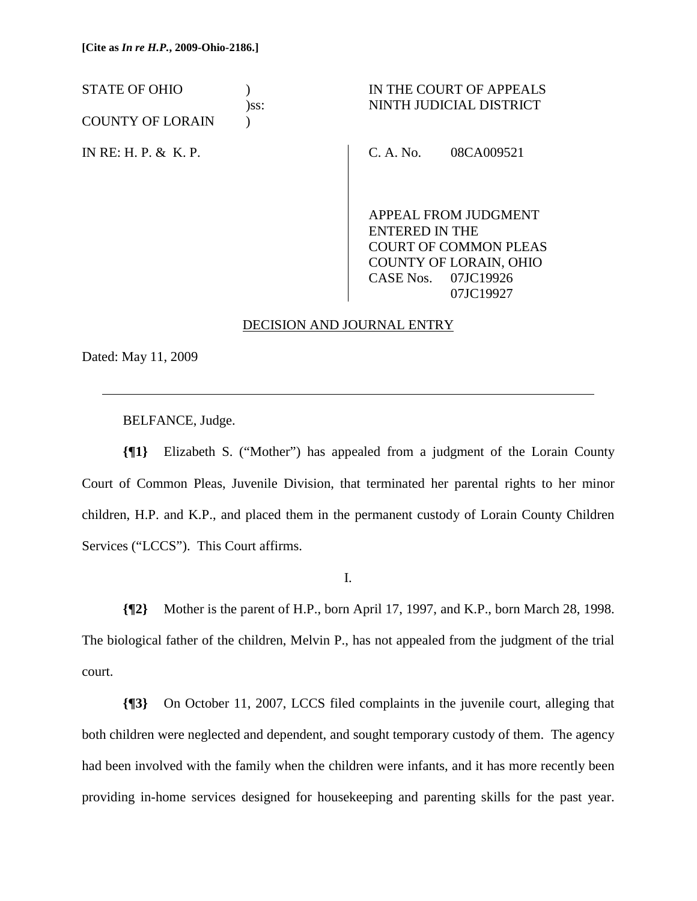COUNTY OF LORAIN )

IN RE: H. P. & K. P.

# STATE OF OHIO ) IN THE COURT OF APPEALS )ss: NINTH JUDICIAL DISTRICT

C. A. No. 08CA009521

APPEAL FROM JUDGMENT ENTERED IN THE COURT OF COMMON PLEAS COUNTY OF LORAIN, OHIO CASE Nos. 07JC19926 07JC19927

## DECISION AND JOURNAL ENTRY

Dated: May 11, 2009

 $\overline{a}$ 

BELFANCE, Judge.

**{¶1}** Elizabeth S. ("Mother") has appealed from a judgment of the Lorain County Court of Common Pleas, Juvenile Division, that terminated her parental rights to her minor children, H.P. and K.P., and placed them in the permanent custody of Lorain County Children Services ("LCCS"). This Court affirms.

I.

**{¶2}** Mother is the parent of H.P., born April 17, 1997, and K.P., born March 28, 1998. The biological father of the children, Melvin P., has not appealed from the judgment of the trial court.

**{¶3}** On October 11, 2007, LCCS filed complaints in the juvenile court, alleging that both children were neglected and dependent, and sought temporary custody of them. The agency had been involved with the family when the children were infants, and it has more recently been providing in-home services designed for housekeeping and parenting skills for the past year.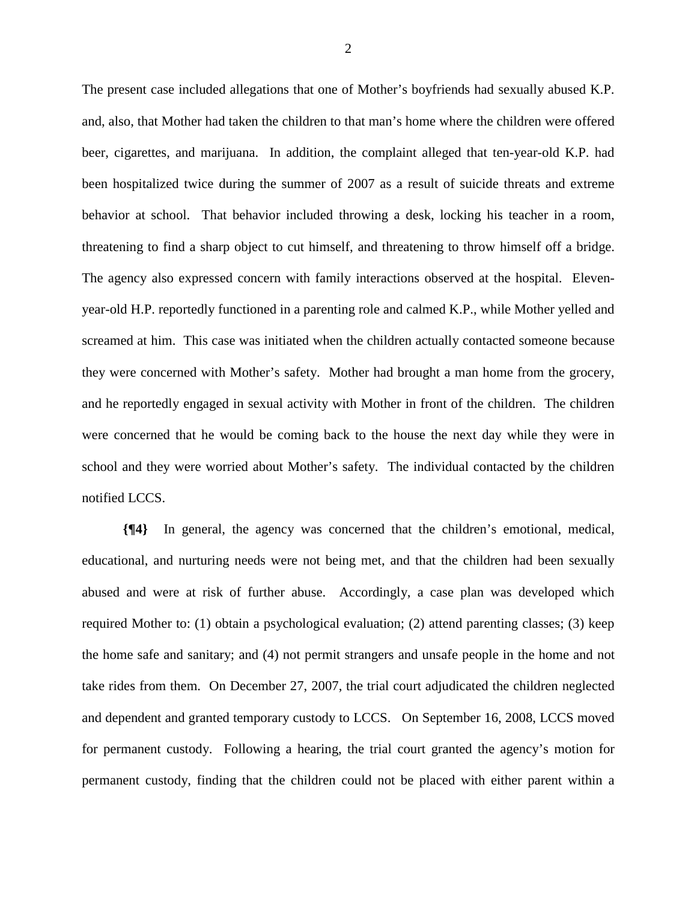The present case included allegations that one of Mother's boyfriends had sexually abused K.P. and, also, that Mother had taken the children to that man's home where the children were offered beer, cigarettes, and marijuana. In addition, the complaint alleged that ten-year-old K.P. had been hospitalized twice during the summer of 2007 as a result of suicide threats and extreme behavior at school. That behavior included throwing a desk, locking his teacher in a room, threatening to find a sharp object to cut himself, and threatening to throw himself off a bridge. The agency also expressed concern with family interactions observed at the hospital. Elevenyear-old H.P. reportedly functioned in a parenting role and calmed K.P., while Mother yelled and screamed at him. This case was initiated when the children actually contacted someone because they were concerned with Mother's safety. Mother had brought a man home from the grocery, and he reportedly engaged in sexual activity with Mother in front of the children. The children were concerned that he would be coming back to the house the next day while they were in school and they were worried about Mother's safety. The individual contacted by the children notified LCCS.

**{¶4}** In general, the agency was concerned that the children's emotional, medical, educational, and nurturing needs were not being met, and that the children had been sexually abused and were at risk of further abuse. Accordingly, a case plan was developed which required Mother to: (1) obtain a psychological evaluation; (2) attend parenting classes; (3) keep the home safe and sanitary; and (4) not permit strangers and unsafe people in the home and not take rides from them. On December 27, 2007, the trial court adjudicated the children neglected and dependent and granted temporary custody to LCCS. On September 16, 2008, LCCS moved for permanent custody. Following a hearing, the trial court granted the agency's motion for permanent custody, finding that the children could not be placed with either parent within a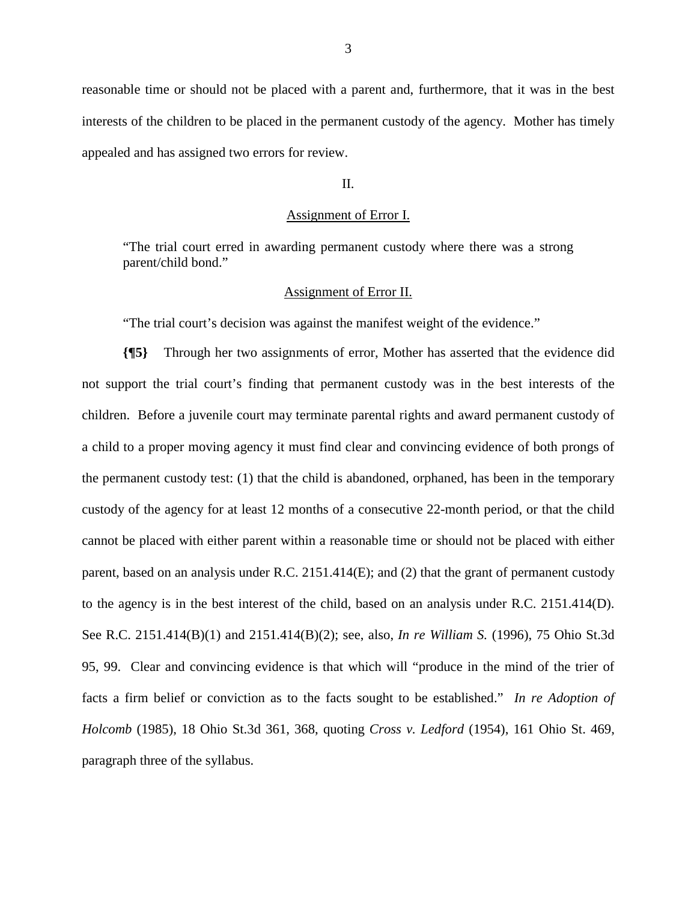reasonable time or should not be placed with a parent and, furthermore, that it was in the best interests of the children to be placed in the permanent custody of the agency. Mother has timely appealed and has assigned two errors for review.

### II.

### Assignment of Error I.

"The trial court erred in awarding permanent custody where there was a strong parent/child bond."

#### Assignment of Error II.

"The trial court's decision was against the manifest weight of the evidence."

**{¶5}** Through her two assignments of error, Mother has asserted that the evidence did not support the trial court's finding that permanent custody was in the best interests of the children. Before a juvenile court may terminate parental rights and award permanent custody of a child to a proper moving agency it must find clear and convincing evidence of both prongs of the permanent custody test: (1) that the child is abandoned, orphaned, has been in the temporary custody of the agency for at least 12 months of a consecutive 22-month period, or that the child cannot be placed with either parent within a reasonable time or should not be placed with either parent, based on an analysis under R.C. 2151.414(E); and (2) that the grant of permanent custody to the agency is in the best interest of the child, based on an analysis under R.C. 2151.414(D). See R.C. 2151.414(B)(1) and 2151.414(B)(2); see, also, *In re William S.* (1996), 75 Ohio St.3d 95, 99. Clear and convincing evidence is that which will "produce in the mind of the trier of facts a firm belief or conviction as to the facts sought to be established." *In re Adoption of Holcomb* (1985), 18 Ohio St.3d 361, 368, quoting *Cross v. Ledford* (1954), 161 Ohio St. 469, paragraph three of the syllabus.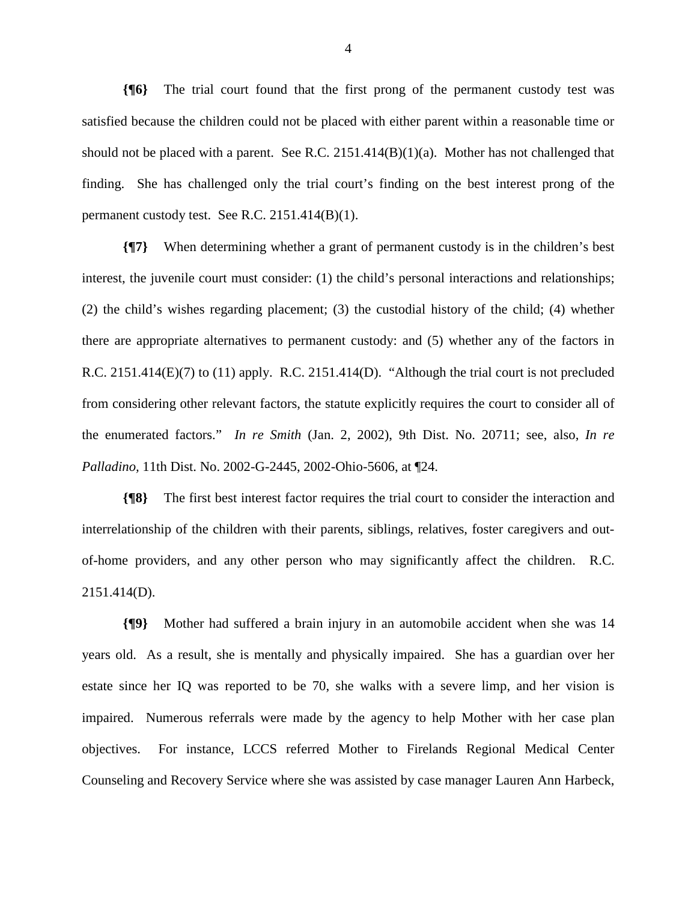**{¶6}** The trial court found that the first prong of the permanent custody test was satisfied because the children could not be placed with either parent within a reasonable time or should not be placed with a parent. See R.C. 2151.414(B)(1)(a). Mother has not challenged that finding. She has challenged only the trial court's finding on the best interest prong of the permanent custody test. See R.C. 2151.414(B)(1).

**{¶7}** When determining whether a grant of permanent custody is in the children's best interest, the juvenile court must consider: (1) the child's personal interactions and relationships; (2) the child's wishes regarding placement; (3) the custodial history of the child; (4) whether there are appropriate alternatives to permanent custody: and (5) whether any of the factors in R.C. 2151.414(E)(7) to (11) apply. R.C. 2151.414(D). "Although the trial court is not precluded from considering other relevant factors, the statute explicitly requires the court to consider all of the enumerated factors." *In re Smith* (Jan. 2, 2002), 9th Dist. No. 20711; see, also, *In re Palladino,* 11th Dist. No. 2002-G-2445, 2002-Ohio-5606, at ¶24.

**{¶8}** The first best interest factor requires the trial court to consider the interaction and interrelationship of the children with their parents, siblings, relatives, foster caregivers and outof-home providers, and any other person who may significantly affect the children. R.C. 2151.414(D).

**{¶9}** Mother had suffered a brain injury in an automobile accident when she was 14 years old. As a result, she is mentally and physically impaired. She has a guardian over her estate since her IQ was reported to be 70, she walks with a severe limp, and her vision is impaired. Numerous referrals were made by the agency to help Mother with her case plan objectives. For instance, LCCS referred Mother to Firelands Regional Medical Center Counseling and Recovery Service where she was assisted by case manager Lauren Ann Harbeck,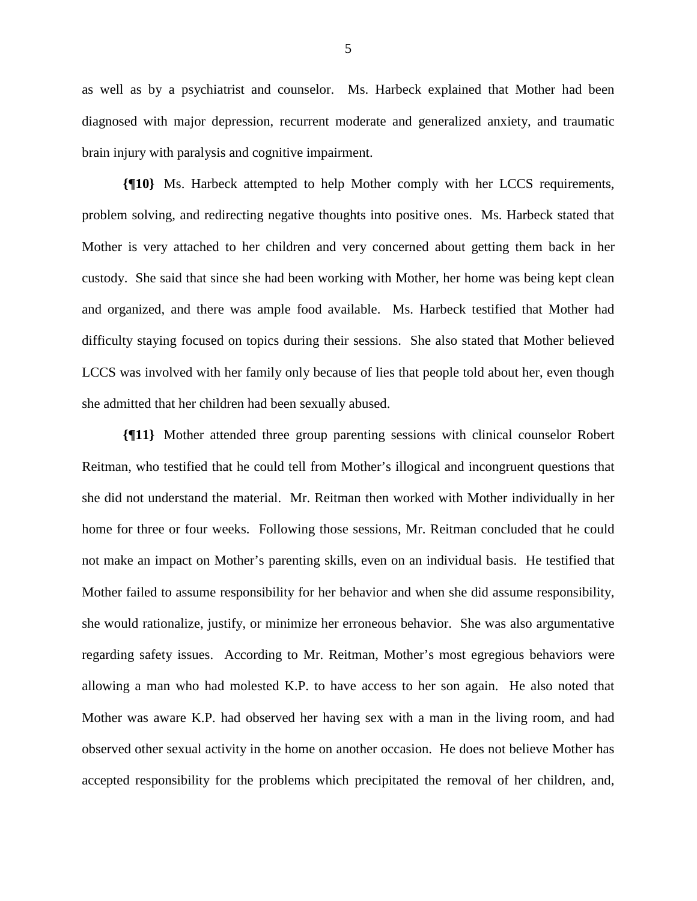as well as by a psychiatrist and counselor. Ms. Harbeck explained that Mother had been diagnosed with major depression, recurrent moderate and generalized anxiety, and traumatic brain injury with paralysis and cognitive impairment.

**{¶10}** Ms. Harbeck attempted to help Mother comply with her LCCS requirements, problem solving, and redirecting negative thoughts into positive ones. Ms. Harbeck stated that Mother is very attached to her children and very concerned about getting them back in her custody. She said that since she had been working with Mother, her home was being kept clean and organized, and there was ample food available. Ms. Harbeck testified that Mother had difficulty staying focused on topics during their sessions. She also stated that Mother believed LCCS was involved with her family only because of lies that people told about her, even though she admitted that her children had been sexually abused.

**{¶11}** Mother attended three group parenting sessions with clinical counselor Robert Reitman, who testified that he could tell from Mother's illogical and incongruent questions that she did not understand the material. Mr. Reitman then worked with Mother individually in her home for three or four weeks. Following those sessions, Mr. Reitman concluded that he could not make an impact on Mother's parenting skills, even on an individual basis. He testified that Mother failed to assume responsibility for her behavior and when she did assume responsibility, she would rationalize, justify, or minimize her erroneous behavior. She was also argumentative regarding safety issues. According to Mr. Reitman, Mother's most egregious behaviors were allowing a man who had molested K.P. to have access to her son again. He also noted that Mother was aware K.P. had observed her having sex with a man in the living room, and had observed other sexual activity in the home on another occasion. He does not believe Mother has accepted responsibility for the problems which precipitated the removal of her children, and,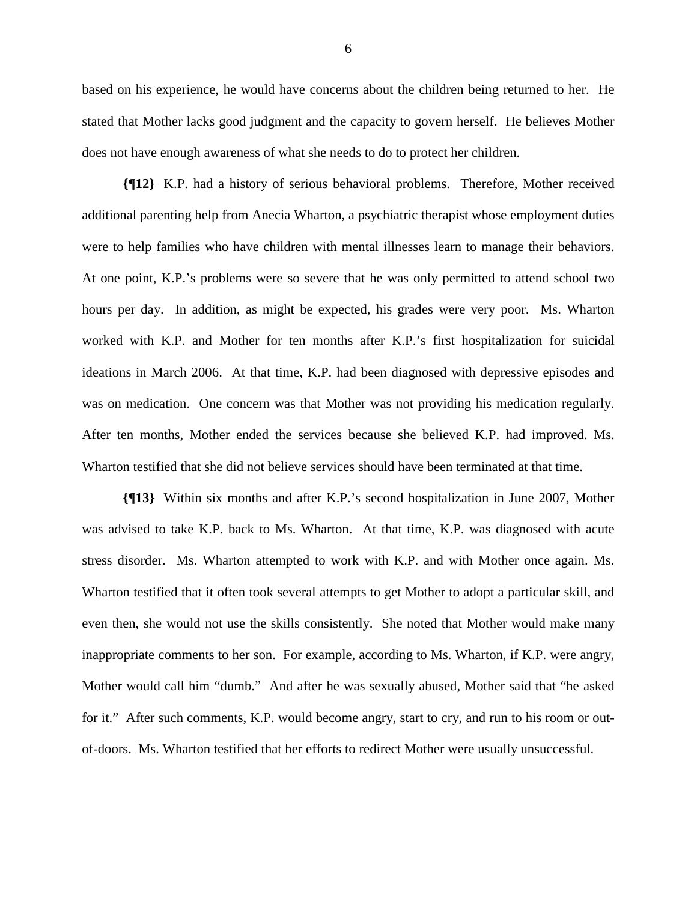based on his experience, he would have concerns about the children being returned to her. He stated that Mother lacks good judgment and the capacity to govern herself. He believes Mother does not have enough awareness of what she needs to do to protect her children.

**{¶12}** K.P. had a history of serious behavioral problems. Therefore, Mother received additional parenting help from Anecia Wharton, a psychiatric therapist whose employment duties were to help families who have children with mental illnesses learn to manage their behaviors. At one point, K.P.'s problems were so severe that he was only permitted to attend school two hours per day. In addition, as might be expected, his grades were very poor. Ms. Wharton worked with K.P. and Mother for ten months after K.P.'s first hospitalization for suicidal ideations in March 2006. At that time, K.P. had been diagnosed with depressive episodes and was on medication. One concern was that Mother was not providing his medication regularly. After ten months, Mother ended the services because she believed K.P. had improved. Ms. Wharton testified that she did not believe services should have been terminated at that time.

**{¶13}** Within six months and after K.P.'s second hospitalization in June 2007, Mother was advised to take K.P. back to Ms. Wharton. At that time, K.P. was diagnosed with acute stress disorder. Ms. Wharton attempted to work with K.P. and with Mother once again. Ms. Wharton testified that it often took several attempts to get Mother to adopt a particular skill, and even then, she would not use the skills consistently. She noted that Mother would make many inappropriate comments to her son. For example, according to Ms. Wharton, if K.P. were angry, Mother would call him "dumb." And after he was sexually abused, Mother said that "he asked for it." After such comments, K.P. would become angry, start to cry, and run to his room or outof-doors. Ms. Wharton testified that her efforts to redirect Mother were usually unsuccessful.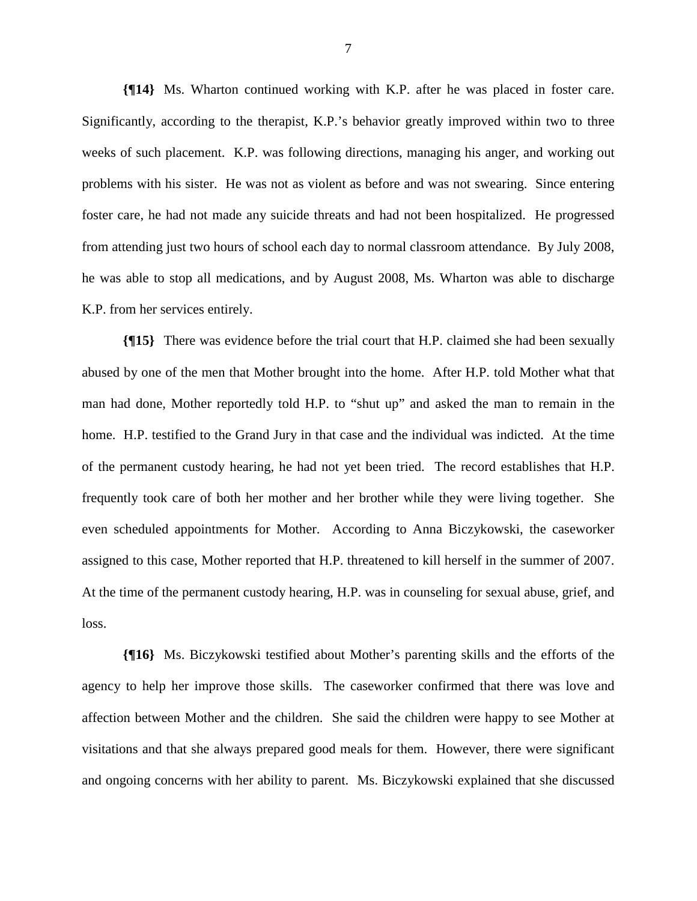**{¶14}** Ms. Wharton continued working with K.P. after he was placed in foster care. Significantly, according to the therapist, K.P.'s behavior greatly improved within two to three weeks of such placement. K.P. was following directions, managing his anger, and working out problems with his sister. He was not as violent as before and was not swearing. Since entering foster care, he had not made any suicide threats and had not been hospitalized. He progressed from attending just two hours of school each day to normal classroom attendance. By July 2008, he was able to stop all medications, and by August 2008, Ms. Wharton was able to discharge K.P. from her services entirely.

**{¶15}** There was evidence before the trial court that H.P. claimed she had been sexually abused by one of the men that Mother brought into the home. After H.P. told Mother what that man had done, Mother reportedly told H.P. to "shut up" and asked the man to remain in the home. H.P. testified to the Grand Jury in that case and the individual was indicted. At the time of the permanent custody hearing, he had not yet been tried. The record establishes that H.P. frequently took care of both her mother and her brother while they were living together. She even scheduled appointments for Mother. According to Anna Biczykowski, the caseworker assigned to this case, Mother reported that H.P. threatened to kill herself in the summer of 2007. At the time of the permanent custody hearing, H.P. was in counseling for sexual abuse, grief, and loss.

**{¶16}** Ms. Biczykowski testified about Mother's parenting skills and the efforts of the agency to help her improve those skills. The caseworker confirmed that there was love and affection between Mother and the children. She said the children were happy to see Mother at visitations and that she always prepared good meals for them. However, there were significant and ongoing concerns with her ability to parent. Ms. Biczykowski explained that she discussed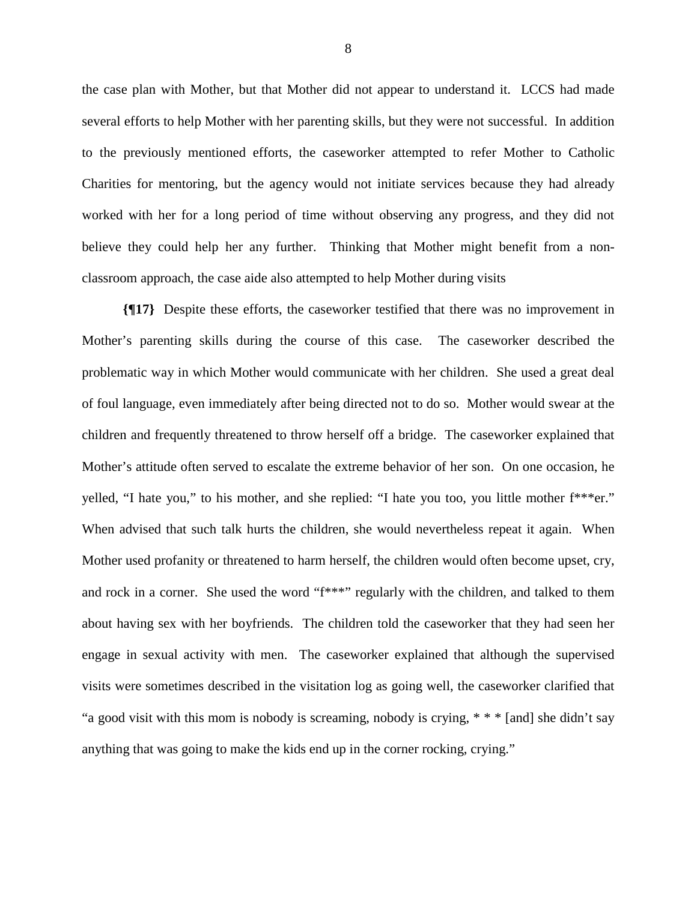the case plan with Mother, but that Mother did not appear to understand it. LCCS had made several efforts to help Mother with her parenting skills, but they were not successful. In addition to the previously mentioned efforts, the caseworker attempted to refer Mother to Catholic Charities for mentoring, but the agency would not initiate services because they had already worked with her for a long period of time without observing any progress, and they did not believe they could help her any further. Thinking that Mother might benefit from a nonclassroom approach, the case aide also attempted to help Mother during visits

**{¶17}** Despite these efforts, the caseworker testified that there was no improvement in Mother's parenting skills during the course of this case. The caseworker described the problematic way in which Mother would communicate with her children. She used a great deal of foul language, even immediately after being directed not to do so. Mother would swear at the children and frequently threatened to throw herself off a bridge. The caseworker explained that Mother's attitude often served to escalate the extreme behavior of her son. On one occasion, he yelled, "I hate you," to his mother, and she replied: "I hate you too, you little mother f\*\*\*er." When advised that such talk hurts the children, she would nevertheless repeat it again. When Mother used profanity or threatened to harm herself, the children would often become upset, cry, and rock in a corner. She used the word "f\*\*\*" regularly with the children, and talked to them about having sex with her boyfriends. The children told the caseworker that they had seen her engage in sexual activity with men. The caseworker explained that although the supervised visits were sometimes described in the visitation log as going well, the caseworker clarified that "a good visit with this mom is nobody is screaming, nobody is crying, \* \* \* [and] she didn't say anything that was going to make the kids end up in the corner rocking, crying."

8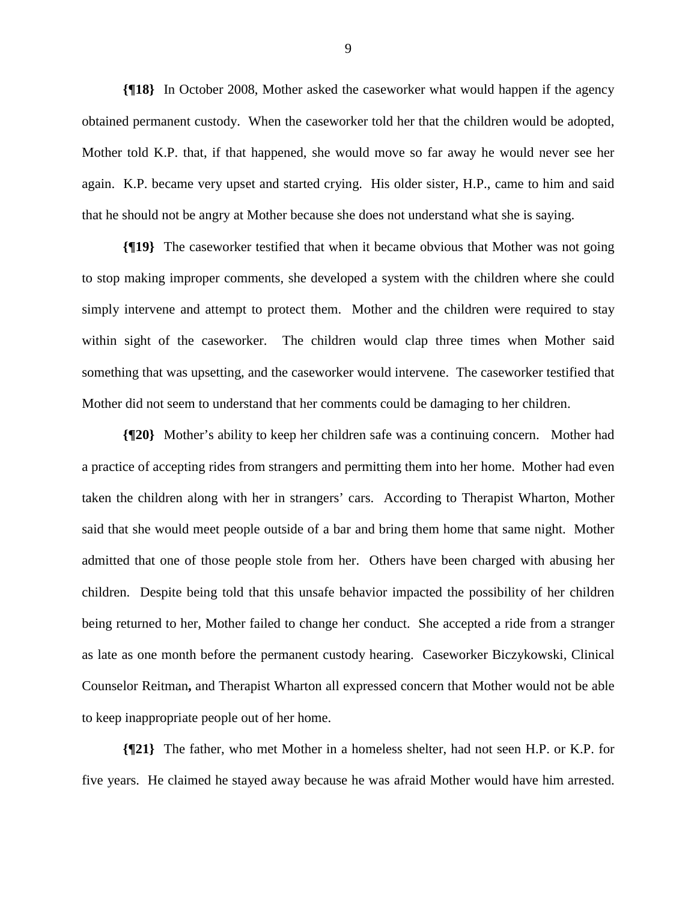**{¶18}** In October 2008, Mother asked the caseworker what would happen if the agency obtained permanent custody. When the caseworker told her that the children would be adopted, Mother told K.P. that, if that happened, she would move so far away he would never see her again. K.P. became very upset and started crying. His older sister, H.P., came to him and said that he should not be angry at Mother because she does not understand what she is saying.

**{¶19}** The caseworker testified that when it became obvious that Mother was not going to stop making improper comments, she developed a system with the children where she could simply intervene and attempt to protect them. Mother and the children were required to stay within sight of the caseworker. The children would clap three times when Mother said something that was upsetting, and the caseworker would intervene. The caseworker testified that Mother did not seem to understand that her comments could be damaging to her children.

**{¶20}** Mother's ability to keep her children safe was a continuing concern. Mother had a practice of accepting rides from strangers and permitting them into her home. Mother had even taken the children along with her in strangers' cars. According to Therapist Wharton, Mother said that she would meet people outside of a bar and bring them home that same night. Mother admitted that one of those people stole from her. Others have been charged with abusing her children. Despite being told that this unsafe behavior impacted the possibility of her children being returned to her, Mother failed to change her conduct. She accepted a ride from a stranger as late as one month before the permanent custody hearing. Caseworker Biczykowski, Clinical Counselor Reitman**,** and Therapist Wharton all expressed concern that Mother would not be able to keep inappropriate people out of her home.

**{¶21}** The father, who met Mother in a homeless shelter, had not seen H.P. or K.P. for five years. He claimed he stayed away because he was afraid Mother would have him arrested.

9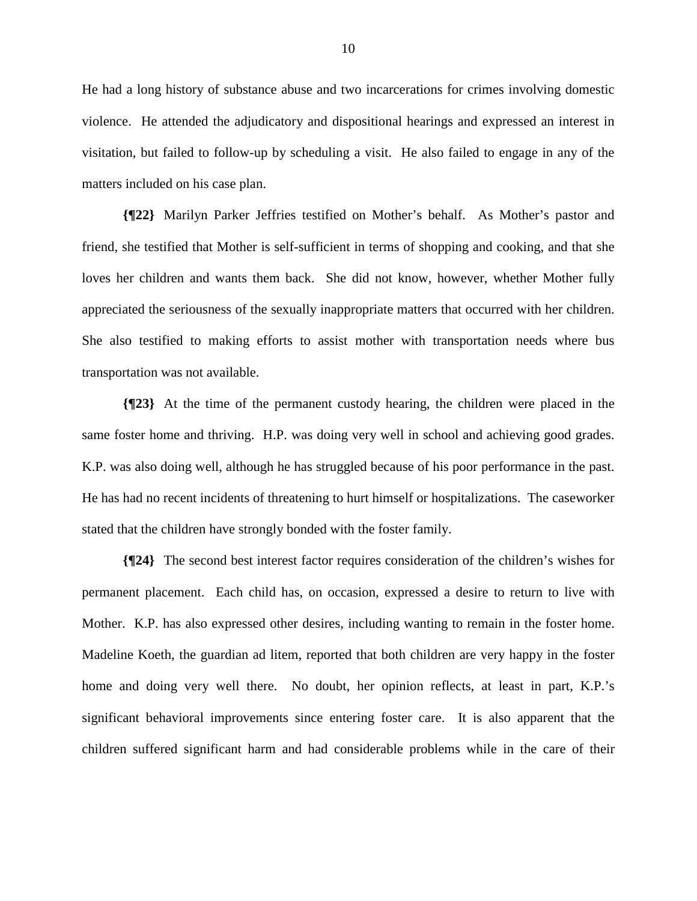He had a long history of substance abuse and two incarcerations for crimes involving domestic violence. He attended the adjudicatory and dispositional hearings and expressed an interest in visitation, but failed to follow-up by scheduling a visit. He also failed to engage in any of the matters included on his case plan.

**{¶22}** Marilyn Parker Jeffries testified on Mother's behalf. As Mother's pastor and friend, she testified that Mother is self-sufficient in terms of shopping and cooking, and that she loves her children and wants them back. She did not know, however, whether Mother fully appreciated the seriousness of the sexually inappropriate matters that occurred with her children. She also testified to making efforts to assist mother with transportation needs where bus transportation was not available.

**{¶23}** At the time of the permanent custody hearing, the children were placed in the same foster home and thriving. H.P. was doing very well in school and achieving good grades. K.P. was also doing well, although he has struggled because of his poor performance in the past. He has had no recent incidents of threatening to hurt himself or hospitalizations. The caseworker stated that the children have strongly bonded with the foster family.

**{¶24}** The second best interest factor requires consideration of the children's wishes for permanent placement. Each child has, on occasion, expressed a desire to return to live with Mother. K.P. has also expressed other desires, including wanting to remain in the foster home. Madeline Koeth, the guardian ad litem, reported that both children are very happy in the foster home and doing very well there. No doubt, her opinion reflects, at least in part, K.P.'s significant behavioral improvements since entering foster care. It is also apparent that the children suffered significant harm and had considerable problems while in the care of their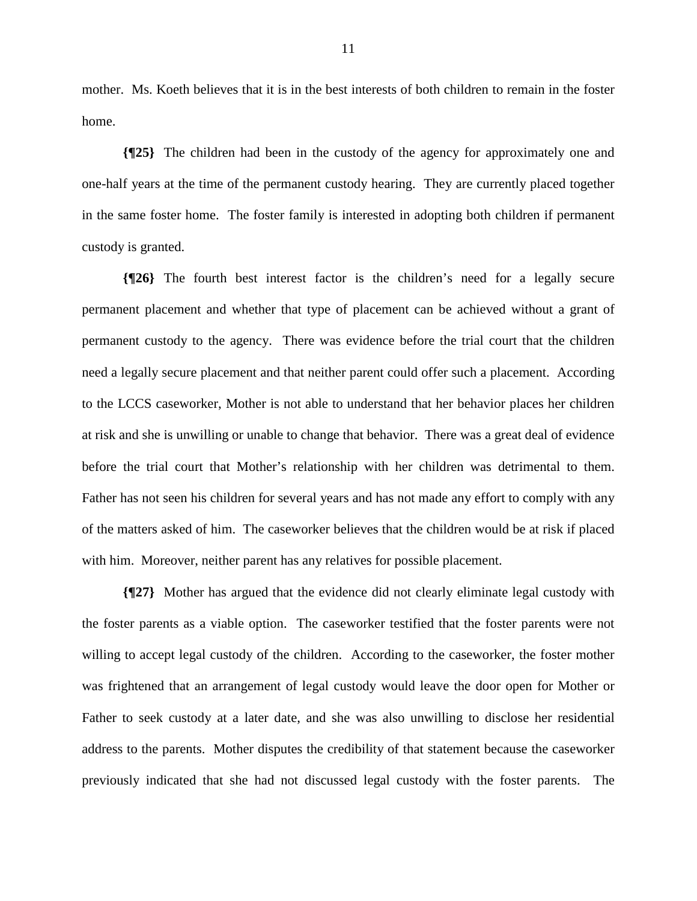mother. Ms. Koeth believes that it is in the best interests of both children to remain in the foster home.

**{¶25}** The children had been in the custody of the agency for approximately one and one-half years at the time of the permanent custody hearing. They are currently placed together in the same foster home. The foster family is interested in adopting both children if permanent custody is granted.

**{¶26}** The fourth best interest factor is the children's need for a legally secure permanent placement and whether that type of placement can be achieved without a grant of permanent custody to the agency. There was evidence before the trial court that the children need a legally secure placement and that neither parent could offer such a placement. According to the LCCS caseworker, Mother is not able to understand that her behavior places her children at risk and she is unwilling or unable to change that behavior. There was a great deal of evidence before the trial court that Mother's relationship with her children was detrimental to them. Father has not seen his children for several years and has not made any effort to comply with any of the matters asked of him. The caseworker believes that the children would be at risk if placed with him. Moreover, neither parent has any relatives for possible placement.

**{¶27}** Mother has argued that the evidence did not clearly eliminate legal custody with the foster parents as a viable option. The caseworker testified that the foster parents were not willing to accept legal custody of the children. According to the caseworker, the foster mother was frightened that an arrangement of legal custody would leave the door open for Mother or Father to seek custody at a later date, and she was also unwilling to disclose her residential address to the parents. Mother disputes the credibility of that statement because the caseworker previously indicated that she had not discussed legal custody with the foster parents. The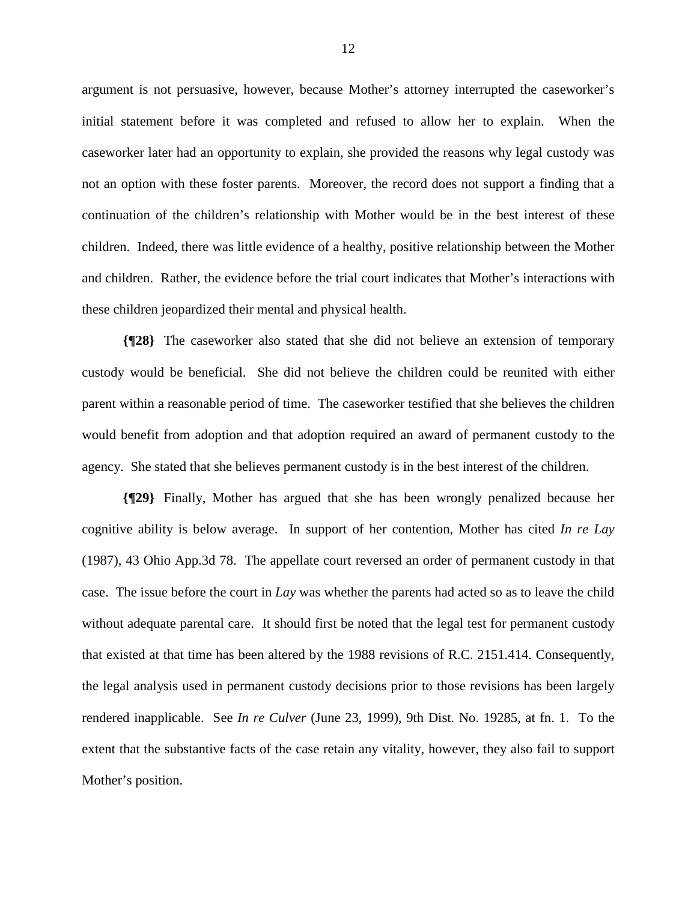argument is not persuasive, however, because Mother's attorney interrupted the caseworker's initial statement before it was completed and refused to allow her to explain. When the caseworker later had an opportunity to explain, she provided the reasons why legal custody was not an option with these foster parents. Moreover, the record does not support a finding that a continuation of the children's relationship with Mother would be in the best interest of these children. Indeed, there was little evidence of a healthy, positive relationship between the Mother and children. Rather, the evidence before the trial court indicates that Mother's interactions with these children jeopardized their mental and physical health.

**{¶28}** The caseworker also stated that she did not believe an extension of temporary custody would be beneficial. She did not believe the children could be reunited with either parent within a reasonable period of time. The caseworker testified that she believes the children would benefit from adoption and that adoption required an award of permanent custody to the agency. She stated that she believes permanent custody is in the best interest of the children.

**{¶29}** Finally, Mother has argued that she has been wrongly penalized because her cognitive ability is below average. In support of her contention, Mother has cited *In re Lay*  (1987), 43 Ohio App.3d 78. The appellate court reversed an order of permanent custody in that case. The issue before the court in *Lay* was whether the parents had acted so as to leave the child without adequate parental care. It should first be noted that the legal test for permanent custody that existed at that time has been altered by the 1988 revisions of R.C. 2151.414. Consequently, the legal analysis used in permanent custody decisions prior to those revisions has been largely rendered inapplicable. See *In re Culver* (June 23, 1999), 9th Dist. No. 19285, at fn. 1. To the extent that the substantive facts of the case retain any vitality, however, they also fail to support Mother's position.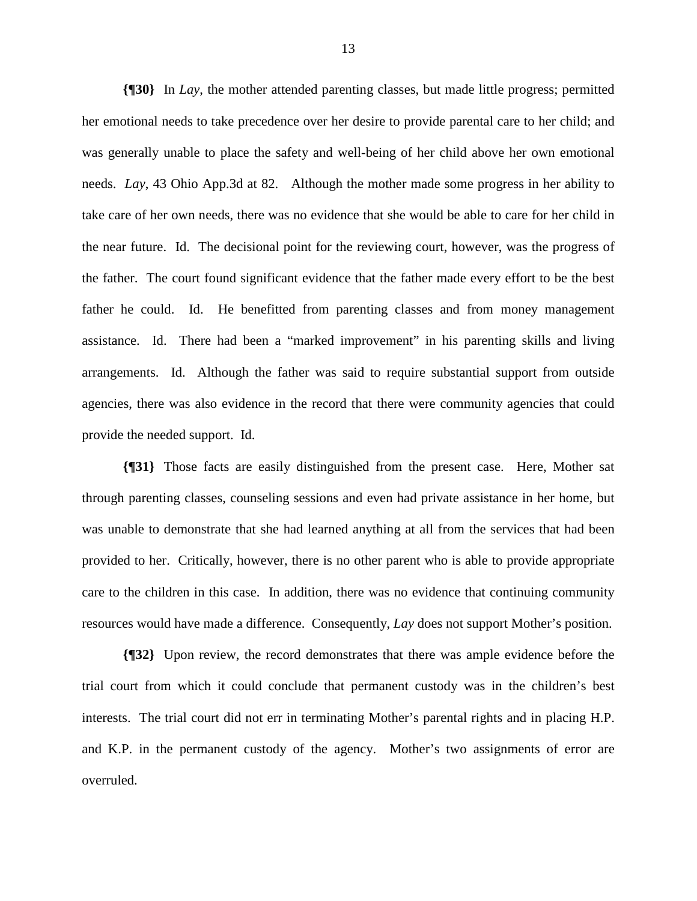**{¶30}** In *Lay*, the mother attended parenting classes, but made little progress; permitted her emotional needs to take precedence over her desire to provide parental care to her child; and was generally unable to place the safety and well-being of her child above her own emotional needs. *Lay*, 43 Ohio App.3d at 82. Although the mother made some progress in her ability to take care of her own needs, there was no evidence that she would be able to care for her child in the near future. Id. The decisional point for the reviewing court, however, was the progress of the father. The court found significant evidence that the father made every effort to be the best father he could. Id. He benefitted from parenting classes and from money management assistance. Id. There had been a "marked improvement" in his parenting skills and living arrangements. Id. Although the father was said to require substantial support from outside agencies, there was also evidence in the record that there were community agencies that could provide the needed support. Id.

**{¶31}** Those facts are easily distinguished from the present case. Here, Mother sat through parenting classes, counseling sessions and even had private assistance in her home, but was unable to demonstrate that she had learned anything at all from the services that had been provided to her. Critically, however, there is no other parent who is able to provide appropriate care to the children in this case. In addition, there was no evidence that continuing community resources would have made a difference. Consequently, *Lay* does not support Mother's position.

**{¶32}** Upon review, the record demonstrates that there was ample evidence before the trial court from which it could conclude that permanent custody was in the children's best interests. The trial court did not err in terminating Mother's parental rights and in placing H.P. and K.P. in the permanent custody of the agency. Mother's two assignments of error are overruled.